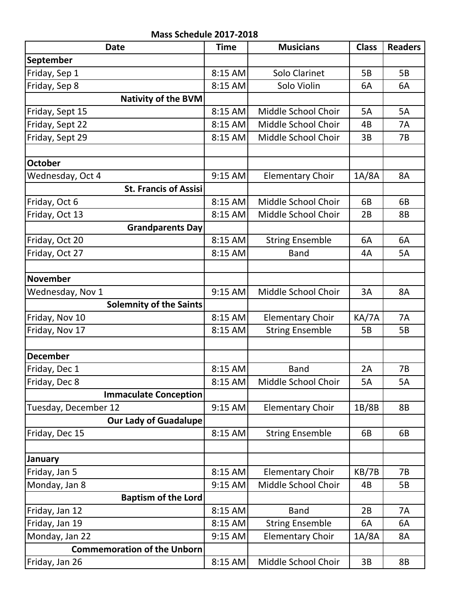**Mass Schedule 2017-2018**

| <b>Date</b>                        | <b>Time</b> | <b>Musicians</b>        | <b>Class</b> | <b>Readers</b> |
|------------------------------------|-------------|-------------------------|--------------|----------------|
| September                          |             |                         |              |                |
| Friday, Sep 1                      | 8:15 AM     | Solo Clarinet           | 5B           | 5B             |
| Friday, Sep 8                      | 8:15 AM     | Solo Violin             | 6A           | 6A             |
| <b>Nativity of the BVM</b>         |             |                         |              |                |
| Friday, Sept 15                    | 8:15 AM     | Middle School Choir     | 5A           | 5A             |
| Friday, Sept 22                    | 8:15 AM     | Middle School Choir     | 4B           | 7A             |
| Friday, Sept 29                    | 8:15 AM     | Middle School Choir     | 3B           | 7B             |
|                                    |             |                         |              |                |
| <b>October</b>                     |             |                         |              |                |
| Wednesday, Oct 4                   | 9:15 AM     | <b>Elementary Choir</b> | 1A/8A        | 8A             |
| <b>St. Francis of Assisi</b>       |             |                         |              |                |
| Friday, Oct 6                      | 8:15 AM     | Middle School Choir     | 6B           | 6B             |
| Friday, Oct 13                     | 8:15 AM     | Middle School Choir     | 2B           | 8B             |
| <b>Grandparents Day</b>            |             |                         |              |                |
| Friday, Oct 20                     | 8:15 AM     | <b>String Ensemble</b>  | 6A           | 6A             |
| Friday, Oct 27                     | 8:15 AM     | <b>Band</b>             | 4A           | 5A             |
|                                    |             |                         |              |                |
| <b>November</b>                    |             |                         |              |                |
| Wednesday, Nov 1                   | 9:15 AM     | Middle School Choir     | 3A           | <b>8A</b>      |
| <b>Solemnity of the Saints</b>     |             |                         |              |                |
| Friday, Nov 10                     | 8:15 AM     | <b>Elementary Choir</b> | KA/7A        | <b>7A</b>      |
| Friday, Nov 17                     | 8:15 AM     | <b>String Ensemble</b>  | 5B           | 5B             |
|                                    |             |                         |              |                |
| <b>December</b>                    |             |                         |              |                |
| Friday, Dec 1                      | 8:15 AM     | <b>Band</b>             | 2A           | 7B             |
| Friday, Dec 8                      | 8:15 AM     | Middle School Choir     | <b>5A</b>    | 5A             |
| <b>Immaculate Conception</b>       |             |                         |              |                |
| Tuesday, December 12               | 9:15 AM     | <b>Elementary Choir</b> | 1B/8B        | <b>8B</b>      |
| Our Lady of Guadalupe              |             |                         |              |                |
| Friday, Dec 15                     | 8:15 AM     | <b>String Ensemble</b>  | 6B           | 6B             |
|                                    |             |                         |              |                |
| January                            |             |                         |              |                |
| Friday, Jan 5                      | 8:15 AM     | <b>Elementary Choir</b> | KB/7B        | 7B             |
| Monday, Jan 8                      | 9:15 AM     | Middle School Choir     | 4B           | 5B             |
| <b>Baptism of the Lord</b>         |             |                         |              |                |
| Friday, Jan 12                     | 8:15 AM     | <b>Band</b>             | 2B           | 7A             |
| Friday, Jan 19                     | 8:15 AM     | <b>String Ensemble</b>  | 6A           | 6A             |
| Monday, Jan 22                     | 9:15 AM     | <b>Elementary Choir</b> | 1A/8A        | 8A             |
| <b>Commemoration of the Unborn</b> |             |                         |              |                |
| Friday, Jan 26                     | $8:15$ AM   | Middle School Choir     | 3B           | 8B             |